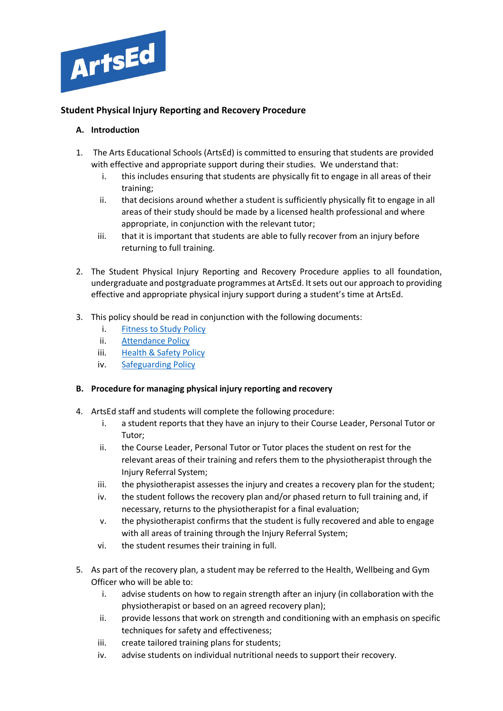

## **Student Physical Injury Reporting and Recovery Procedure**

## **A. Introduction**

- 1. The Arts Educational Schools (ArtsEd) is committed to ensuring that students are provided with effective and appropriate support during their studies. We understand that:
	- i. this includes ensuring that students are physically fit to engage in all areas of their training;
	- ii. that decisions around whether a student is sufficiently physically fit to engage in all areas of their study should be made by a licensed health professional and where appropriate, in conjunction with the relevant tutor;
	- iii. that it is important that students are able to fully recover from an injury before returning to full training.
- 2. The Student Physical Injury Reporting and Recovery Procedure applies to all foundation, undergraduate and postgraduate programmes at ArtsEd. It sets out our approach to providing effective and appropriate physical injury support during a student's time at ArtsEd.
- 3. This policy should be read in conjunction with the following documents:
	- i. [Fitness to Study Policy](https://artsed003.blob.core.windows.net/policy/fitness-to-study.pdf)
	- ii. [Attendance Policy](https://artsed003.blob.core.windows.net/policy/attendance-policy.pdf)
	- iii. [Health & Safety Policy](https://artsed003.blob.core.windows.net/policy/health-and-safety-policy.pdf)
	- iv. [Safeguarding Policy](https://artsed003.blob.core.windows.net/policy/safeguarding-policy.pdf)

## **B. Procedure for managing physical injury reporting and recovery**

- 4. ArtsEd staff and students will complete the following procedure:
	- i. a student reports that they have an injury to their Course Leader, Personal Tutor or Tutor;
	- ii. the Course Leader, Personal Tutor or Tutor places the student on rest for the relevant areas of their training and refers them to the physiotherapist through the Injury Referral System;
	- iii. the physiotherapist assesses the injury and creates a recovery plan for the student;
	- iv. the student follows the recovery plan and/or phased return to full training and, if necessary, returns to the physiotherapist for a final evaluation;
	- v. the physiotherapist confirms that the student is fully recovered and able to engage with all areas of training through the Injury Referral System;
	- vi. the student resumes their training in full.
- 5. As part of the recovery plan, a student may be referred to the Health, Wellbeing and Gym Officer who will be able to:
	- i. advise students on how to regain strength after an injury (in collaboration with the physiotherapist or based on an agreed recovery plan);
	- ii. provide lessons that work on strength and conditioning with an emphasis on specific techniques for safety and effectiveness;
	- iii. create tailored training plans for students;
	- iv. advise students on individual nutritional needs to support their recovery.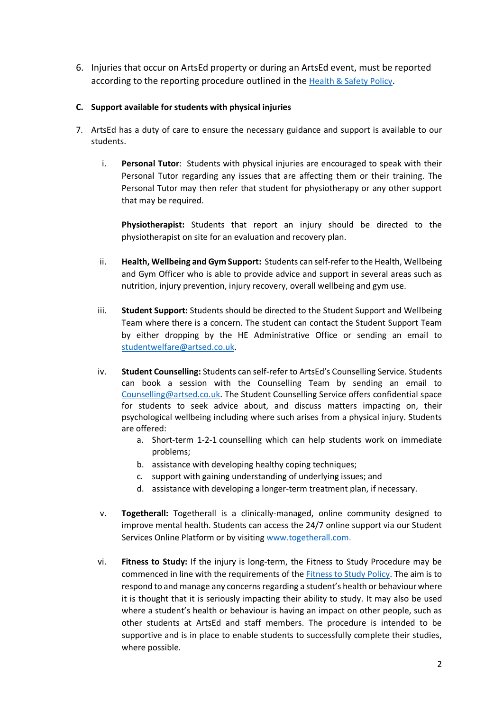6. Injuries that occur on ArtsEd property or during an ArtsEd event, must be reported according to the reporting procedure outlined in the [Health & Safety Policy.](https://artsed003.blob.core.windows.net/policy/health-and-safety-policy.pdf)

## **C. Support available for students with physical injuries**

- 7. ArtsEd has a duty of care to ensure the necessary guidance and support is available to our students.
	- i. **Personal Tutor**: Students with physical injuries are encouraged to speak with their Personal Tutor regarding any issues that are affecting them or their training. The Personal Tutor may then refer that student for physiotherapy or any other support that may be required.

**Physiotherapist:** Students that report an injury should be directed to the physiotherapist on site for an evaluation and recovery plan.

- ii. **Health, Wellbeing and Gym Support:** Students can self-refer to the Health, Wellbeing and Gym Officer who is able to provide advice and support in several areas such as nutrition, injury prevention, injury recovery, overall wellbeing and gym use.
- iii. **Student Support:** Students should be directed to the Student Support and Wellbeing Team where there is a concern. The student can contact the Student Support Team by either dropping by the HE Administrative Office or sending an email to [studentwelfare@artsed.co.uk.](mailto:studentwelfare@artsed.co.uk)
- iv. **Student Counselling:** Students can self-refer to ArtsEd's Counselling Service. Students can book a session with the Counselling Team by sending an email to [Counselling@artsed.co.uk.](mailto:Counselling@artsed.co.uk) The Student Counselling Service offers confidential space for students to seek advice about, and discuss matters impacting on, their psychological wellbeing including where such arises from a physical injury. Students are offered:
	- a. Short-term 1-2-1 counselling which can help students work on immediate problems;
	- b. assistance with developing healthy coping techniques;
	- c. support with gaining understanding of underlying issues; and
	- d. assistance with developing a longer-term treatment plan, if necessary.
- v. **Togetherall:** Togetherall is a clinically-managed, online community designed to improve mental health. Students can access the 24/7 online support via our Student Services Online Platform or by visitin[g www.togetherall.com.](http://www.togetherall.com/)
- vi. **Fitness to Study:** If the injury is long-term, the Fitness to Study Procedure may be commenced in line with the requirements of the [Fitness to Study Policy.](https://artsed003.blob.core.windows.net/policy/fitness-to-study.pdf) The aim is to respond to and manage any concerns regarding a student's health or behaviour where it is thought that it is seriously impacting their ability to study. It may also be used where a student's health or behaviour is having an impact on other people, such as other students at ArtsEd and staff members. The procedure is intended to be supportive and is in place to enable students to successfully complete their studies, where possible.